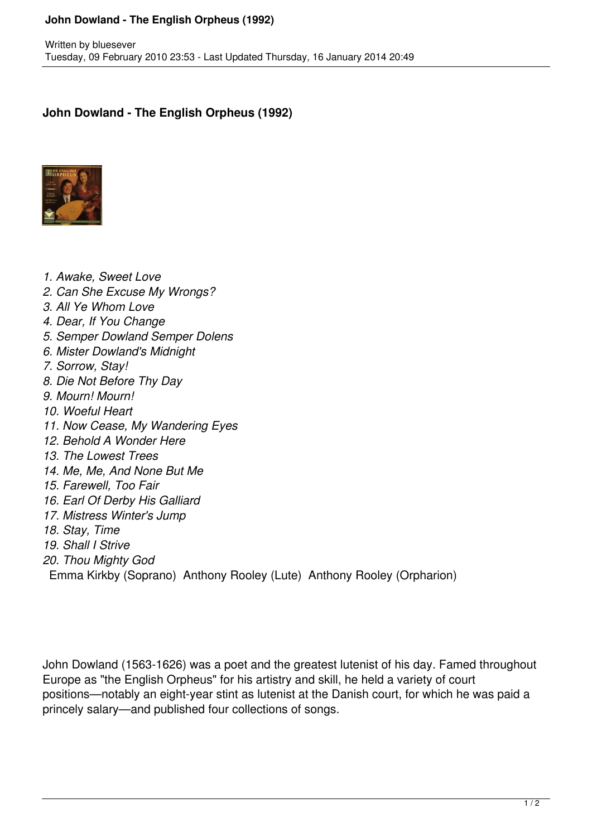## **John Dowland - The English Orpheus (1992)**

## **John Dowland - The English Orpheus (1992)**



*1. Awake, Sweet Love*

- *2. Can She Excuse My Wrongs?*
- *3. All Ye Whom Love*
- *4. Dear, If You Change*
- *5. Semper Dowland Semper Dolens*
- *6. Mister Dowland's Midnight*
- *7. Sorrow, Stay!*
- *8. Die Not Before Thy Day*
- *9. Mourn! Mourn!*
- *10. Woeful Heart*
- *11. Now Cease, My Wandering Eyes*
- *12. Behold A Wonder Here*
- *13. The Lowest Trees*
- *14. Me, Me, And None But Me*
- *15. Farewell, Too Fair*
- *16. Earl Of Derby His Galliard*
- *17. Mistress Winter's Jump*
- *18. Stay, Time*
- *19. Shall I Strive*
- *20. Thou Mighty God*
- Emma Kirkby (Soprano) Anthony Rooley (Lute) Anthony Rooley (Orpharion)

John Dowland (1563-1626) was a poet and the greatest lutenist of his day. Famed throughout Europe as "the English Orpheus" for his artistry and skill, he held a variety of court positions—notably an eight-year stint as lutenist at the Danish court, for which he was paid a princely salary—and published four collections of songs.